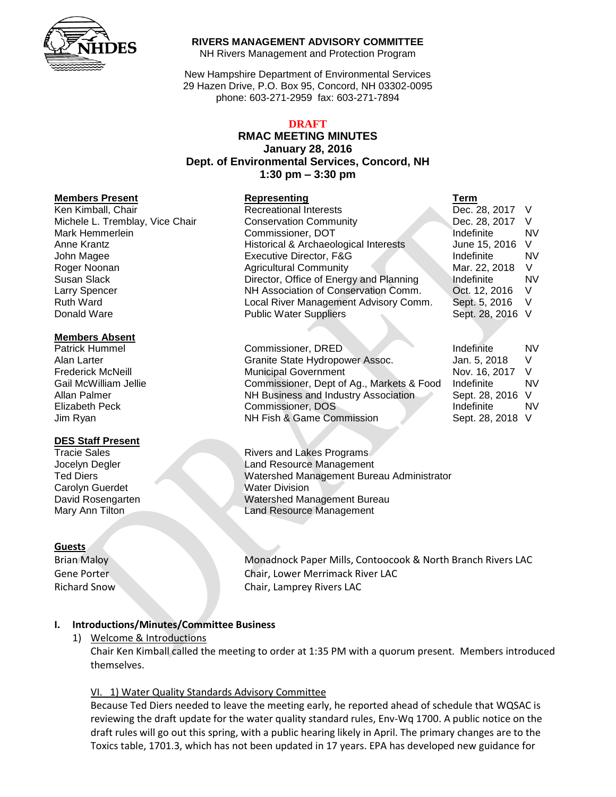

#### **RIVERS MANAGEMENT ADVISORY COMMITTEE**

NH Rivers Management and Protection Program

New Hampshire Department of Environmental Services 29 Hazen Drive, P.O. Box 95, Concord, NH 03302-0095 phone: 603-271-2959 fax: 603-271-7894

#### **DRAFT**

# **RMAC MEETING MINUTES January 28, 2016 Dept. of Environmental Services, Concord, NH 1:30 pm – 3:30 pm**

## **Members Present Representing Term**

Ken Kimball, Chair **Recreational Interests** Dec. 28, 2017 V

#### **Members Absent**

Elizabeth Peck Commissioner, DOS

#### **DES Staff Present**

Carolyn Guerdet Water Division

## **Guests**

Michele L. Tremblay, Vice Chair Conservation Community Dec. 28, 2017 V Mark Hemmerlein **National Commissioner, DOT** and the Indefinite NV Anne Krantz **Historical & Archaeological Interests** June 15, 2016 V John Magee Executive Director, F&G Indefinite NV Roger Noonan **Agricultural Community** Mar. 22, 2018 V Susan Slack **Director, Office of Energy and Planning Conductional Conduction** NV Larry Spencer NH Association of Conservation Comm. Oct. 12, 2016 V Ruth Ward Local River Management Advisory Comm. Sept. 5, 2016 V Donald Ware **No. 28, 2016** V Public Water Suppliers Sept. 28, 2016 V

Patrick Hummel **Commissioner**, DRED Alan Larter **Alan Larter Communist Communist Communist Communist Communist Communist Communist Communist Communist Communist Communist Communist Communist Communist Communist Communist Communist Communist Communist Communi** Frederick McNeill **Frederick Municipal Government** Gail McWilliam Jellie Commissioner, Dept of Ag., Markets & Food<br>Allan Palmer Number 2008 NH Business and Industry Association **NH Business and Industry Association** Jim Ryan NH Fish & Game Commission

| Indefinite     | N٧ |
|----------------|----|
| Jan. 5, 2018   | V  |
| Nov. 16, 2017  | V  |
| Indefinite     | N٧ |
| Sept. 28, 2016 | V  |
| Indefinite     | N٧ |
| Sept. 28, 2018 | V  |

Tracie Sales Rivers and Lakes Programs **Jocelyn Degler Land Resource Management** Ted Diers Watershed Management Bureau Administrator David Rosengarten Watershed Management Bureau Mary Ann Tilton Land Resource Management

Brian Maloy **Monadnock Paper Mills, Contoocook & North Branch Rivers LAC** Gene Porter Chair, Lower Merrimack River LAC Richard Snow Chair, Lamprey Rivers LAC

## **I. Introductions/Minutes/Committee Business**

1) Welcome & Introductions Chair Ken Kimball called the meeting to order at 1:35 PM with a quorum present. Members introduced themselves.

## VI. 1) Water Quality Standards Advisory Committee

Because Ted Diers needed to leave the meeting early, he reported ahead of schedule that WQSAC is reviewing the draft update for the water quality standard rules, Env-Wq 1700. A public notice on the draft rules will go out this spring, with a public hearing likely in April. The primary changes are to the Toxics table, 1701.3, which has not been updated in 17 years. EPA has developed new guidance for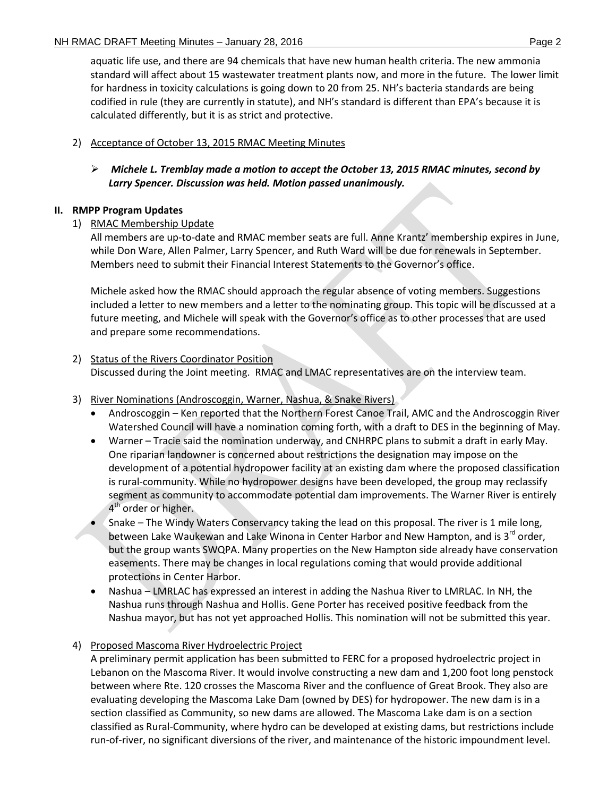aquatic life use, and there are 94 chemicals that have new human health criteria. The new ammonia standard will affect about 15 wastewater treatment plants now, and more in the future. The lower limit for hardness in toxicity calculations is going down to 20 from 25. NH's bacteria standards are being codified in rule (they are currently in statute), and NH's standard is different than EPA's because it is calculated differently, but it is as strict and protective.

# 2) Acceptance of October 13, 2015 RMAC Meeting Minutes

 *Michele L. Tremblay made a motion to accept the October 13, 2015 RMAC minutes, second by Larry Spencer. Discussion was held. Motion passed unanimously.* 

# **II. RMPP Program Updates**

1) RMAC Membership Update

All members are up-to-date and RMAC member seats are full. Anne Krantz' membership expires in June, while Don Ware, Allen Palmer, Larry Spencer, and Ruth Ward will be due for renewals in September. Members need to submit their Financial Interest Statements to the Governor's office.

Michele asked how the RMAC should approach the regular absence of voting members. Suggestions included a letter to new members and a letter to the nominating group. This topic will be discussed at a future meeting, and Michele will speak with the Governor's office as to other processes that are used and prepare some recommendations.

## 2) Status of the Rivers Coordinator Position Discussed during the Joint meeting. RMAC and LMAC representatives are on the interview team.

- 3) River Nominations (Androscoggin, Warner, Nashua, & Snake Rivers)
	- Androscoggin Ken reported that the Northern Forest Canoe Trail, AMC and the Androscoggin River Watershed Council will have a nomination coming forth, with a draft to DES in the beginning of May.
	- Warner Tracie said the nomination underway, and CNHRPC plans to submit a draft in early May. One riparian landowner is concerned about restrictions the designation may impose on the development of a potential hydropower facility at an existing dam where the proposed classification is rural-community. While no hydropower designs have been developed, the group may reclassify segment as community to accommodate potential dam improvements. The Warner River is entirely 4<sup>th</sup> order or higher.
	- $\bullet$  Snake The Windy Waters Conservancy taking the lead on this proposal. The river is 1 mile long, between Lake Waukewan and Lake Winona in Center Harbor and New Hampton, and is 3<sup>rd</sup> order, but the group wants SWQPA. Many properties on the New Hampton side already have conservation easements. There may be changes in local regulations coming that would provide additional protections in Center Harbor.
	- Nashua LMRLAC has expressed an interest in adding the Nashua River to LMRLAC. In NH, the Nashua runs through Nashua and Hollis. Gene Porter has received positive feedback from the Nashua mayor, but has not yet approached Hollis. This nomination will not be submitted this year.

# 4) Proposed Mascoma River Hydroelectric Project

A preliminary permit application has been submitted to FERC for a proposed hydroelectric project in Lebanon on the Mascoma River. It would involve constructing a new dam and 1,200 foot long penstock between where Rte. 120 crosses the Mascoma River and the confluence of Great Brook. They also are evaluating developing the Mascoma Lake Dam (owned by DES) for hydropower. The new dam is in a section classified as Community, so new dams are allowed. The Mascoma Lake dam is on a section classified as Rural-Community, where hydro can be developed at existing dams, but restrictions include run-of-river, no significant diversions of the river, and maintenance of the historic impoundment level.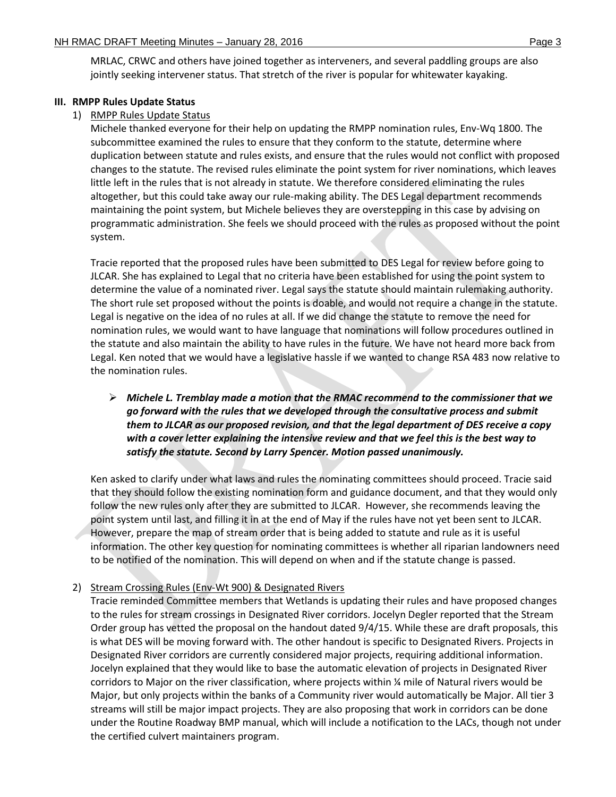MRLAC, CRWC and others have joined together as interveners, and several paddling groups are also jointly seeking intervener status. That stretch of the river is popular for whitewater kayaking.

## **III. RMPP Rules Update Status**

#### 1) RMPP Rules Update Status

Michele thanked everyone for their help on updating the RMPP nomination rules, Env-Wq 1800. The subcommittee examined the rules to ensure that they conform to the statute, determine where duplication between statute and rules exists, and ensure that the rules would not conflict with proposed changes to the statute. The revised rules eliminate the point system for river nominations, which leaves little left in the rules that is not already in statute. We therefore considered eliminating the rules altogether, but this could take away our rule-making ability. The DES Legal department recommends maintaining the point system, but Michele believes they are overstepping in this case by advising on programmatic administration. She feels we should proceed with the rules as proposed without the point system.

Tracie reported that the proposed rules have been submitted to DES Legal for review before going to JLCAR. She has explained to Legal that no criteria have been established for using the point system to determine the value of a nominated river. Legal says the statute should maintain rulemaking authority. The short rule set proposed without the points is doable, and would not require a change in the statute. Legal is negative on the idea of no rules at all. If we did change the statute to remove the need for nomination rules, we would want to have language that nominations will follow procedures outlined in the statute and also maintain the ability to have rules in the future. We have not heard more back from Legal. Ken noted that we would have a legislative hassle if we wanted to change RSA 483 now relative to the nomination rules.

 *Michele L. Tremblay made a motion that the RMAC recommend to the commissioner that we go forward with the rules that we developed through the consultative process and submit them to JLCAR as our proposed revision, and that the legal department of DES receive a copy with a cover letter explaining the intensive review and that we feel this is the best way to satisfy the statute. Second by Larry Spencer. Motion passed unanimously.*

Ken asked to clarify under what laws and rules the nominating committees should proceed. Tracie said that they should follow the existing nomination form and guidance document, and that they would only follow the new rules only after they are submitted to JLCAR. However, she recommends leaving the point system until last, and filling it in at the end of May if the rules have not yet been sent to JLCAR. However, prepare the map of stream order that is being added to statute and rule as it is useful information. The other key question for nominating committees is whether all riparian landowners need to be notified of the nomination. This will depend on when and if the statute change is passed.

#### 2) Stream Crossing Rules (Env-Wt 900) & Designated Rivers

Tracie reminded Committee members that Wetlands is updating their rules and have proposed changes to the rules for stream crossings in Designated River corridors. Jocelyn Degler reported that the Stream Order group has vetted the proposal on the handout dated 9/4/15. While these are draft proposals, this is what DES will be moving forward with. The other handout is specific to Designated Rivers. Projects in Designated River corridors are currently considered major projects, requiring additional information. Jocelyn explained that they would like to base the automatic elevation of projects in Designated River corridors to Major on the river classification, where projects within ¼ mile of Natural rivers would be Major, but only projects within the banks of a Community river would automatically be Major. All tier 3 streams will still be major impact projects. They are also proposing that work in corridors can be done under the Routine Roadway BMP manual, which will include a notification to the LACs, though not under the certified culvert maintainers program.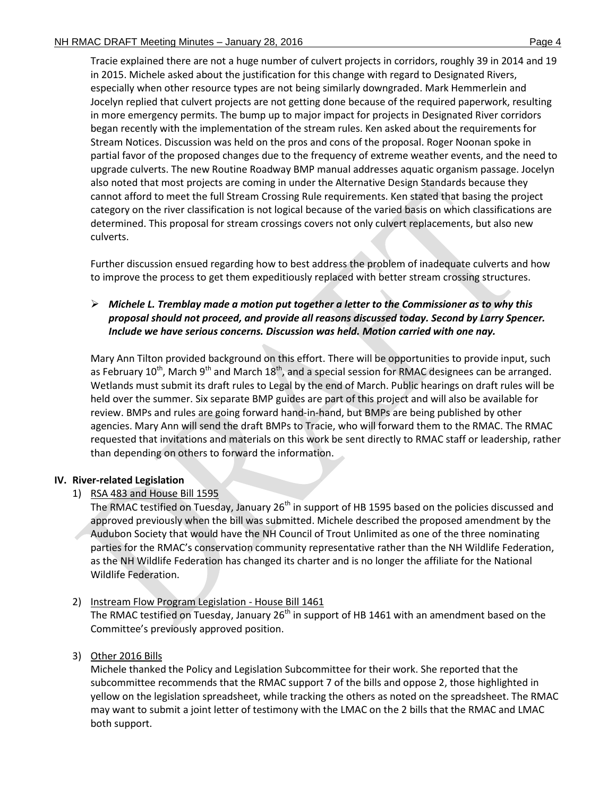Tracie explained there are not a huge number of culvert projects in corridors, roughly 39 in 2014 and 19 in 2015. Michele asked about the justification for this change with regard to Designated Rivers, especially when other resource types are not being similarly downgraded. Mark Hemmerlein and Jocelyn replied that culvert projects are not getting done because of the required paperwork, resulting in more emergency permits. The bump up to major impact for projects in Designated River corridors began recently with the implementation of the stream rules. Ken asked about the requirements for Stream Notices. Discussion was held on the pros and cons of the proposal. Roger Noonan spoke in partial favor of the proposed changes due to the frequency of extreme weather events, and the need to upgrade culverts. The new Routine Roadway BMP manual addresses aquatic organism passage. Jocelyn also noted that most projects are coming in under the Alternative Design Standards because they cannot afford to meet the full Stream Crossing Rule requirements. Ken stated that basing the project category on the river classification is not logical because of the varied basis on which classifications are determined. This proposal for stream crossings covers not only culvert replacements, but also new culverts.

Further discussion ensued regarding how to best address the problem of inadequate culverts and how to improve the process to get them expeditiously replaced with better stream crossing structures.

# *Michele L. Tremblay made a motion put together a letter to the Commissioner as to why this proposal should not proceed, and provide all reasons discussed today. Second by Larry Spencer. Include we have serious concerns. Discussion was held. Motion carried with one nay.*

Mary Ann Tilton provided background on this effort. There will be opportunities to provide input, such as February 10<sup>th</sup>, March 9<sup>th</sup> and March 18<sup>th</sup>, and a special session for RMAC designees can be arranged. Wetlands must submit its draft rules to Legal by the end of March. Public hearings on draft rules will be held over the summer. Six separate BMP guides are part of this project and will also be available for review. BMPs and rules are going forward hand-in-hand, but BMPs are being published by other agencies. Mary Ann will send the draft BMPs to Tracie, who will forward them to the RMAC. The RMAC requested that invitations and materials on this work be sent directly to RMAC staff or leadership, rather than depending on others to forward the information.

# **IV. River-related Legislation**

# 1) RSA 483 and House Bill 1595

The RMAC testified on Tuesday, January  $26<sup>th</sup>$  in support of HB 1595 based on the policies discussed and approved previously when the bill was submitted. Michele described the proposed amendment by the Audubon Society that would have the NH Council of Trout Unlimited as one of the three nominating parties for the RMAC's conservation community representative rather than the NH Wildlife Federation, as the NH Wildlife Federation has changed its charter and is no longer the affiliate for the National Wildlife Federation.

# 2) Instream Flow Program Legislation - House Bill 1461

The RMAC testified on Tuesday, January  $26<sup>th</sup>$  in support of HB 1461 with an amendment based on the Committee's previously approved position.

# 3) Other 2016 Bills

Michele thanked the Policy and Legislation Subcommittee for their work. She reported that the subcommittee recommends that the RMAC support 7 of the bills and oppose 2, those highlighted in yellow on the legislation spreadsheet, while tracking the others as noted on the spreadsheet. The RMAC may want to submit a joint letter of testimony with the LMAC on the 2 bills that the RMAC and LMAC both support.